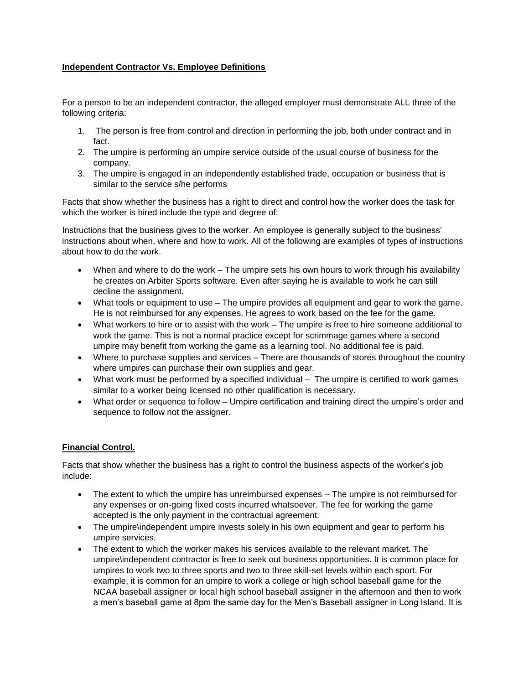## **Independent Contractor Vs. Employee Definitions**

For a person to be an independent contractor, the alleged employer must demonstrate ALL three of the following criteria:

- 1. The person is free from control and direction in performing the job, both under contract and in fact.
- 2. The umpire is performing an umpire service outside of the usual course of business for the company.
- 3. The umpire is engaged in an independently established trade, occupation or business that is similar to the service s/he performs

Facts that show whether the business has a right to direct and control how the worker does the task for which the worker is hired include the type and degree of:

Instructions that the business gives to the worker. An employee is generally subject to the business' instructions about when, where and how to work. All of the following are examples of types of instructions about how to do the work.

- When and where to do the work The umpire sets his own hours to work through his availability he creates on Arbiter Sports software. Even after saying he is available to work he can still decline the assignment.
- What tools or equipment to use The umpire provides all equipment and gear to work the game. He is not reimbursed for any expenses. He agrees to work based on the fee for the game.
- What workers to hire or to assist with the work The umpire is free to hire someone additional to work the game. This is not a normal practice except for scrimmage games where a second umpire may benefit from working the game as a learning tool. No additional fee is paid.
- Where to purchase supplies and services There are thousands of stores throughout the country where umpires can purchase their own supplies and gear.
- What work must be performed by a specified individual The umpire is certified to work games similar to a worker being licensed no other qualification is necessary.
- What order or sequence to follow Umpire certification and training direct the umpire's order and sequence to follow not the assigner.

## **Financial Control.**

Facts that show whether the business has a right to control the business aspects of the worker's job include:

- The extent to which the umpire has unreimbursed expenses The umpire is not reimbursed for any expenses or on-going fixed costs incurred whatsoever. The fee for working the game accepted is the only payment in the contractual agreement.
- The umpire\independent umpire invests solely in his own equipment and gear to perform his umpire services.
- The extent to which the worker makes his services available to the relevant market. The umpire\independent contractor is free to seek out business opportunities. It is common place for umpires to work two to three sports and two to three skill-set levels within each sport. For example, it is common for an umpire to work a college or high school baseball game for the NCAA baseball assigner or local high school baseball assigner in the afternoon and then to work a men's baseball game at 8pm the same day for the Men's Baseball assigner in Long Island. It is